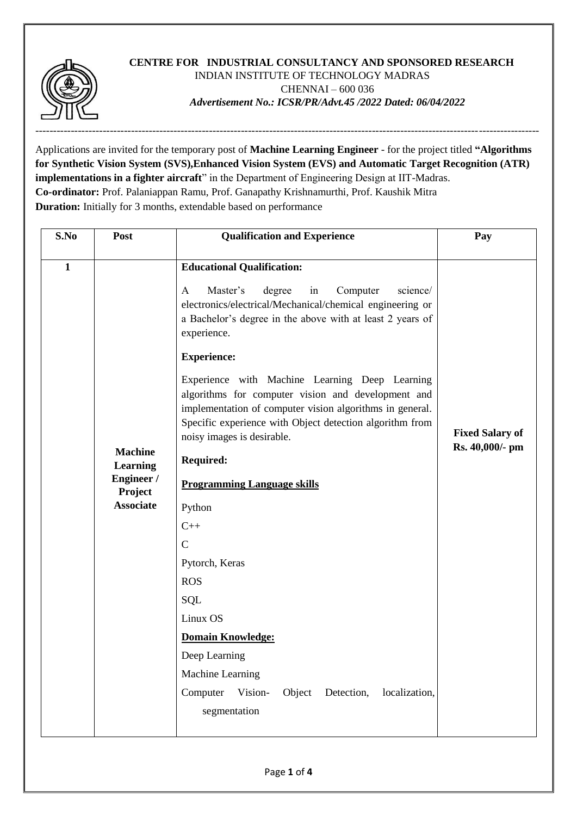

# **CENTRE FOR INDUSTRIAL CONSULTANCY AND SPONSORED RESEARCH** INDIAN INSTITUTE OF TECHNOLOGY MADRAS CHENNAI – 600 036 *Advertisement No.: ICSR/PR/Advt.45 /2022 Dated: 06/04/2022*

Applications are invited for the temporary post of **Machine Learning Engineer** - for the project titled **"Algorithms for Synthetic Vision System (SVS),Enhanced Vision System (EVS) and Automatic Target Recognition (ATR) implementations in a fighter aircraft**" in the Department of Engineering Design at IIT-Madras. **Co-ordinator:** Prof. Palaniappan Ramu, Prof. Ganapathy Krishnamurthi, Prof. Kaushik Mitra **Duration:** Initially for 3 months, extendable based on performance

| S.No         | Post                                                                           | <b>Qualification and Experience</b>                                                                                                                                                                                                                        | Pay                                       |
|--------------|--------------------------------------------------------------------------------|------------------------------------------------------------------------------------------------------------------------------------------------------------------------------------------------------------------------------------------------------------|-------------------------------------------|
|              |                                                                                |                                                                                                                                                                                                                                                            |                                           |
| $\mathbf{1}$ | <b>Machine</b><br><b>Learning</b><br>Engineer /<br>Project<br><b>Associate</b> | <b>Educational Qualification:</b><br>Master's<br>science/<br>A<br>degree<br>in<br>Computer<br>electronics/electrical/Mechanical/chemical engineering or<br>a Bachelor's degree in the above with at least 2 years of<br>experience.                        | <b>Fixed Salary of</b><br>Rs. 40,000/- pm |
|              |                                                                                | <b>Experience:</b>                                                                                                                                                                                                                                         |                                           |
|              |                                                                                | Experience with Machine Learning Deep Learning<br>algorithms for computer vision and development and<br>implementation of computer vision algorithms in general.<br>Specific experience with Object detection algorithm from<br>noisy images is desirable. |                                           |
|              |                                                                                | <b>Required:</b>                                                                                                                                                                                                                                           |                                           |
|              |                                                                                | <b>Programming Language skills</b>                                                                                                                                                                                                                         |                                           |
|              |                                                                                | Python                                                                                                                                                                                                                                                     |                                           |
|              |                                                                                | $C++$                                                                                                                                                                                                                                                      |                                           |
|              |                                                                                | $\overline{C}$                                                                                                                                                                                                                                             |                                           |
|              |                                                                                | Pytorch, Keras                                                                                                                                                                                                                                             |                                           |
|              |                                                                                | <b>ROS</b>                                                                                                                                                                                                                                                 |                                           |
|              |                                                                                | <b>SQL</b>                                                                                                                                                                                                                                                 |                                           |
|              |                                                                                | Linux OS                                                                                                                                                                                                                                                   |                                           |
|              |                                                                                | <b>Domain Knowledge:</b>                                                                                                                                                                                                                                   |                                           |
|              |                                                                                | Deep Learning                                                                                                                                                                                                                                              |                                           |
|              |                                                                                | Machine Learning                                                                                                                                                                                                                                           |                                           |
|              |                                                                                | Computer<br>Object<br>Detection,<br>localization,<br>Vision-<br>segmentation                                                                                                                                                                               |                                           |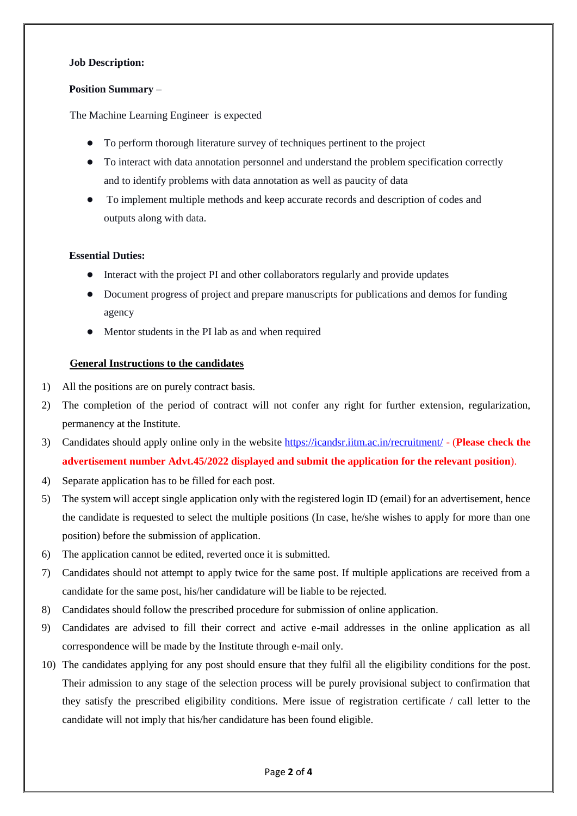#### **Job Description:**

#### **Position Summary –**

The Machine Learning Engineer is expected

- To perform thorough literature survey of techniques pertinent to the project
- To interact with data annotation personnel and understand the problem specification correctly and to identify problems with data annotation as well as paucity of data
- To implement multiple methods and keep accurate records and description of codes and outputs along with data.

## **Essential Duties:**

- Interact with the project PI and other collaborators regularly and provide updates
- Document progress of project and prepare manuscripts for publications and demos for funding agency
- Mentor students in the PI lab as and when required

## **General Instructions to the candidates**

- 1) All the positions are on purely contract basis.
- 2) The completion of the period of contract will not confer any right for further extension, regularization, permanency at the Institute.
- 3) Candidates should apply online only in the websi[te https://icandsr.iitm.ac.in/recruitment/](https://icandsr.iitm.ac.in/recruitment/) (**Please check the advertisement number Advt.45/2022 displayed and submit the application for the relevant position**).
- 4) Separate application has to be filled for each post.
- 5) The system will accept single application only with the registered login ID (email) for an advertisement, hence the candidate is requested to select the multiple positions (In case, he/she wishes to apply for more than one position) before the submission of application.
- 6) The application cannot be edited, reverted once it is submitted.
- 7) Candidates should not attempt to apply twice for the same post. If multiple applications are received from a candidate for the same post, his/her candidature will be liable to be rejected.
- 8) Candidates should follow the prescribed procedure for submission of online application.
- 9) Candidates are advised to fill their correct and active e-mail addresses in the online application as all correspondence will be made by the Institute through e-mail only.
- 10) The candidates applying for any post should ensure that they fulfil all the eligibility conditions for the post. Their admission to any stage of the selection process will be purely provisional subject to confirmation that they satisfy the prescribed eligibility conditions. Mere issue of registration certificate / call letter to the candidate will not imply that his/her candidature has been found eligible.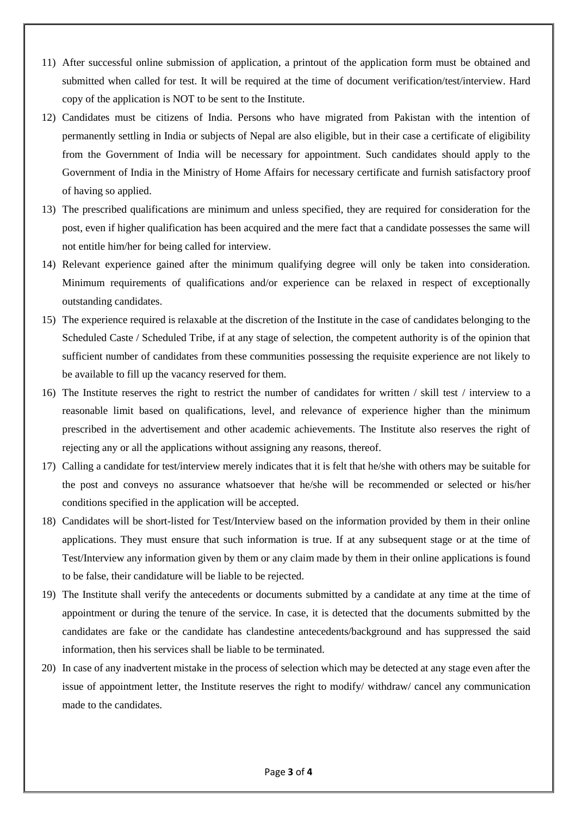- 11) After successful online submission of application, a printout of the application form must be obtained and submitted when called for test. It will be required at the time of document verification/test/interview. Hard copy of the application is NOT to be sent to the Institute.
- 12) Candidates must be citizens of India. Persons who have migrated from Pakistan with the intention of permanently settling in India or subjects of Nepal are also eligible, but in their case a certificate of eligibility from the Government of India will be necessary for appointment. Such candidates should apply to the Government of India in the Ministry of Home Affairs for necessary certificate and furnish satisfactory proof of having so applied.
- 13) The prescribed qualifications are minimum and unless specified, they are required for consideration for the post, even if higher qualification has been acquired and the mere fact that a candidate possesses the same will not entitle him/her for being called for interview.
- 14) Relevant experience gained after the minimum qualifying degree will only be taken into consideration. Minimum requirements of qualifications and/or experience can be relaxed in respect of exceptionally outstanding candidates.
- 15) The experience required is relaxable at the discretion of the Institute in the case of candidates belonging to the Scheduled Caste / Scheduled Tribe, if at any stage of selection, the competent authority is of the opinion that sufficient number of candidates from these communities possessing the requisite experience are not likely to be available to fill up the vacancy reserved for them.
- 16) The Institute reserves the right to restrict the number of candidates for written / skill test / interview to a reasonable limit based on qualifications, level, and relevance of experience higher than the minimum prescribed in the advertisement and other academic achievements. The Institute also reserves the right of rejecting any or all the applications without assigning any reasons, thereof.
- 17) Calling a candidate for test/interview merely indicates that it is felt that he/she with others may be suitable for the post and conveys no assurance whatsoever that he/she will be recommended or selected or his/her conditions specified in the application will be accepted.
- 18) Candidates will be short-listed for Test/Interview based on the information provided by them in their online applications. They must ensure that such information is true. If at any subsequent stage or at the time of Test/Interview any information given by them or any claim made by them in their online applications is found to be false, their candidature will be liable to be rejected.
- 19) The Institute shall verify the antecedents or documents submitted by a candidate at any time at the time of appointment or during the tenure of the service. In case, it is detected that the documents submitted by the candidates are fake or the candidate has clandestine antecedents/background and has suppressed the said information, then his services shall be liable to be terminated.
- 20) In case of any inadvertent mistake in the process of selection which may be detected at any stage even after the issue of appointment letter, the Institute reserves the right to modify/ withdraw/ cancel any communication made to the candidates.